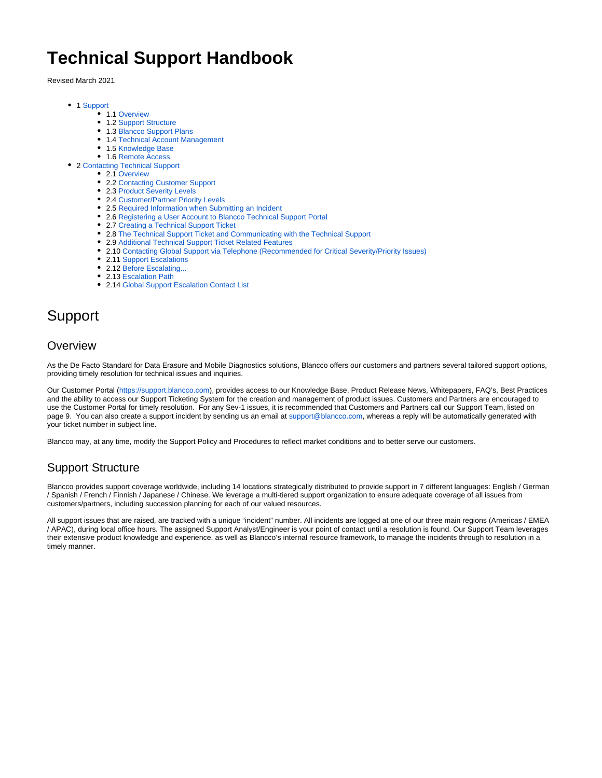# **Technical Support Handbook**

Revised March 2021

- 1 [Support](#page-0-0)
	- 1.1 [Overview](#page-0-1)
	- 1.2 [Support Structure](#page-0-2)
	- 1.3 [Blancco Support Plans](#page-1-0)
	- 1.4 [Technical Account Management](#page-2-0)
	- 1.5 [Knowledge Base](#page-3-0)
	- 1.6 [Remote Access](#page-3-1)
- 2 [Contacting Technical Support](#page-3-2)
	- 2.1 [Overview](#page-3-3)
		- 2.2 [Contacting Customer Support](#page-3-4)
		- 2.3 [Product Severity Levels](#page-3-5)
		- 2.4 [Customer/Partner Priority Levels](#page-3-6)
		- 2.5 [Required Information when Submitting an Incident](#page-4-0)
		- 2.6 [Registering a User Account to Blancco Technical Support Portal](#page-4-1) • 2.7 [Creating a Technical Support Ticket](#page-4-2)
		- 2.8 [The Technical Support Ticket and Communicating with the Technical Support](#page-4-3)
		- 2.9 [Additional Technical Support Ticket Related Features](#page-5-0)
		- 2.10 [Contacting Global Support via Telephone \(Recommended for Critical Severity/Priority Issues\)](#page-5-1)
		- 2.11 [Support Escalations](#page-5-2)
		- 2.12 [Before Escalating...](#page-5-3)
		- 2.13 [Escalation Path](#page-5-4)
		- 2.14 [Global Support Escalation Contact List](#page-5-5)

## <span id="page-0-0"></span>Support

#### <span id="page-0-1"></span>**Overview**

As the De Facto Standard for Data Erasure and Mobile Diagnostics solutions, Blancco offers our customers and partners several tailored support options, providing timely resolution for technical issues and inquiries.

Our Customer Portal [\(https://support.blancco.com](https://support.blancco.com/)), provides access to our Knowledge Base, Product Release News, Whitepapers, FAQ's, Best Practices and the ability to access our Support Ticketing System for the creation and management of product issues. Customers and Partners are encouraged to use the Customer Portal for timely resolution. For any Sev-1 issues, it is recommended that Customers and Partners call our Support Team, listed on page 9. You can also create a support incident by sending us an email at [support@blancco.com,](mailto:support@blancco.com) whereas a reply will be automatically generated with your ticket number in subject line.

Blancco may, at any time, modify the Support Policy and Procedures to reflect market conditions and to better serve our customers.

#### <span id="page-0-2"></span>Support Structure

Blancco provides support coverage worldwide, including 14 locations strategically distributed to provide support in 7 different languages: English / German / Spanish / French / Finnish / Japanese / Chinese. We leverage a multi-tiered support organization to ensure adequate coverage of all issues from customers/partners, including succession planning for each of our valued resources.

All support issues that are raised, are tracked with a unique "incident" number. All incidents are logged at one of our three main regions (Americas / EMEA / APAC), during local office hours. The assigned Support Analyst/Engineer is your point of contact until a resolution is found. Our Support Team leverages their extensive product knowledge and experience, as well as Blancco's internal resource framework, to manage the incidents through to resolution in a timely manner.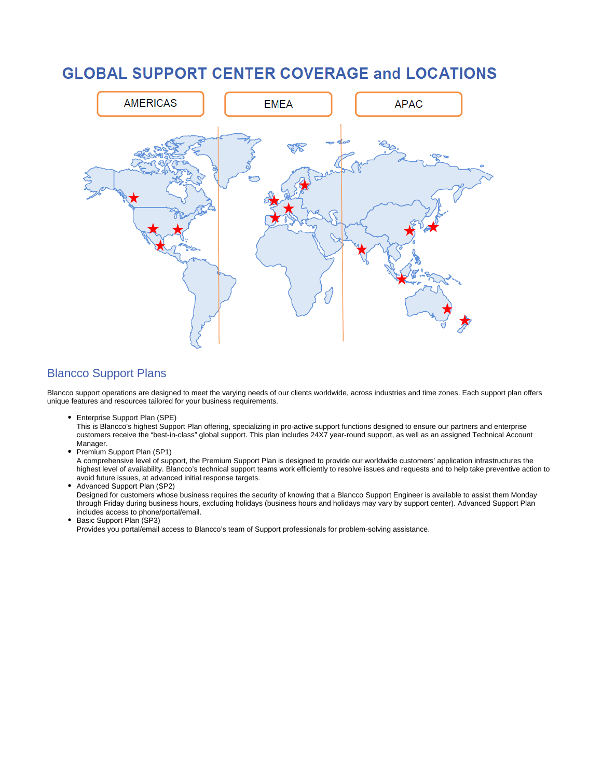## **GLOBAL SUPPORT CENTER COVERAGE and LOCATIONS**



#### <span id="page-1-0"></span>Blancco Support Plans

Blancco support operations are designed to meet the varying needs of our clients worldwide, across industries and time zones. Each support plan offers unique features and resources tailored for your business requirements.

Enterprise Support Plan (SPE)

This is Blancco's highest Support Plan offering, specializing in pro-active support functions designed to ensure our partners and enterprise customers receive the "best-in-class" global support. This plan includes 24X7 year-round support, as well as an assigned Technical Account Manager.

• Premium Support Plan (SP1)

A comprehensive level of support, the Premium Support Plan is designed to provide our worldwide customers' application infrastructures the highest level of availability. Blancco's technical support teams work efficiently to resolve issues and requests and to help take preventive action to avoid future issues, at advanced initial response targets.

Advanced Support Plan (SP2)

Designed for customers whose business requires the security of knowing that a Blancco Support Engineer is available to assist them Monday through Friday during business hours, excluding holidays (business hours and holidays may vary by support center). Advanced Support Plan includes access to phone/portal/email.

Basic Support Plan (SP3)

Provides you portal/email access to Blancco's team of Support professionals for problem-solving assistance.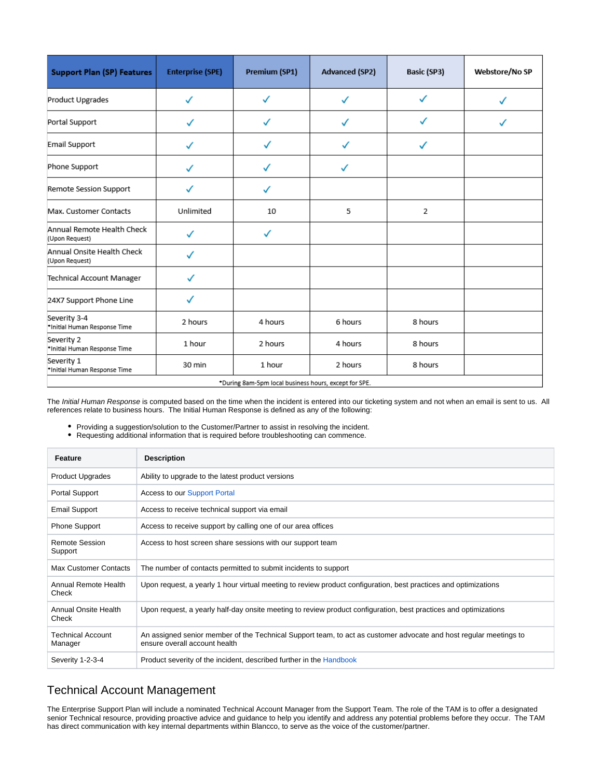| <b>Support Plan (SP) Features</b>                     | <b>Enterprise (SPE)</b> | <b>Premium (SP1)</b> | <b>Advanced (SP2)</b> | <b>Basic (SP3)</b> | Webstore/No SP |  |
|-------------------------------------------------------|-------------------------|----------------------|-----------------------|--------------------|----------------|--|
| Product Upgrades                                      | ✓                       | ✓                    | $\checkmark$          | ✓                  | ✓              |  |
| Portal Support                                        |                         | J                    |                       | ✓                  |                |  |
| <b>Email Support</b>                                  | ✓                       |                      |                       | ✓                  |                |  |
| Phone Support                                         |                         |                      | ✓                     |                    |                |  |
| Remote Session Support                                | ✓                       | ✓                    |                       |                    |                |  |
| Max. Customer Contacts                                | Unlimited               | 10                   | 5                     | 2                  |                |  |
| Annual Remote Health Check<br>(Upon Request)          | ✓                       | ✓                    |                       |                    |                |  |
| Annual Onsite Health Check<br>(Upon Request)          |                         |                      |                       |                    |                |  |
| Technical Account Manager                             | ✓                       |                      |                       |                    |                |  |
| 24X7 Support Phone Line                               |                         |                      |                       |                    |                |  |
| Severity 3-4<br>*Initial Human Response Time          | 2 hours                 | 4 hours              | 6 hours               | 8 hours            |                |  |
| Severity 2<br>*Initial Human Response Time            | 1 hour                  | 2 hours              | 4 hours               | 8 hours            |                |  |
| Severity 1<br>*Initial Human Response Time            | 30 min                  | 1 hour               | 2 hours               | 8 hours            |                |  |
| *During 8am-5pm local business hours, except for SPE. |                         |                      |                       |                    |                |  |

The Initial Human Response is computed based on the time when the incident is entered into our ticketing system and not when an email is sent to us. All references relate to business hours. The Initial Human Response is defined as any of the following:

- Providing a suggestion/solution to the Customer/Partner to assist in resolving the incident.
- Requesting additional information that is required before troubleshooting can commence.

| Feature                             | <b>Description</b>                                                                                                                                 |  |  |
|-------------------------------------|----------------------------------------------------------------------------------------------------------------------------------------------------|--|--|
| <b>Product Upgrades</b>             | Ability to upgrade to the latest product versions                                                                                                  |  |  |
| Portal Support                      | <b>Access to our Support Portal</b>                                                                                                                |  |  |
| <b>Email Support</b>                | Access to receive technical support via email                                                                                                      |  |  |
| <b>Phone Support</b>                | Access to receive support by calling one of our area offices                                                                                       |  |  |
| Remote Session<br>Support           | Access to host screen share sessions with our support team                                                                                         |  |  |
| <b>Max Customer Contacts</b>        | The number of contacts permitted to submit incidents to support                                                                                    |  |  |
| Annual Remote Health<br>Check       | Upon request, a yearly 1 hour virtual meeting to review product configuration, best practices and optimizations                                    |  |  |
| Annual Onsite Health<br>Check       | Upon request, a yearly half-day onsite meeting to review product configuration, best practices and optimizations                                   |  |  |
| <b>Technical Account</b><br>Manager | An assigned senior member of the Technical Support team, to act as customer advocate and host regular meetings to<br>ensure overall account health |  |  |
| Severity 1-2-3-4                    | Product severity of the incident, described further in the Handbook                                                                                |  |  |

#### <span id="page-2-0"></span>Technical Account Management

The Enterprise Support Plan will include a nominated Technical Account Manager from the Support Team. The role of the TAM is to offer a designated senior Technical resource, providing proactive advice and guidance to help you identify and address any potential problems before they occur. The TAM has direct communication with key internal departments within Blancco, to serve as the voice of the customer/partner.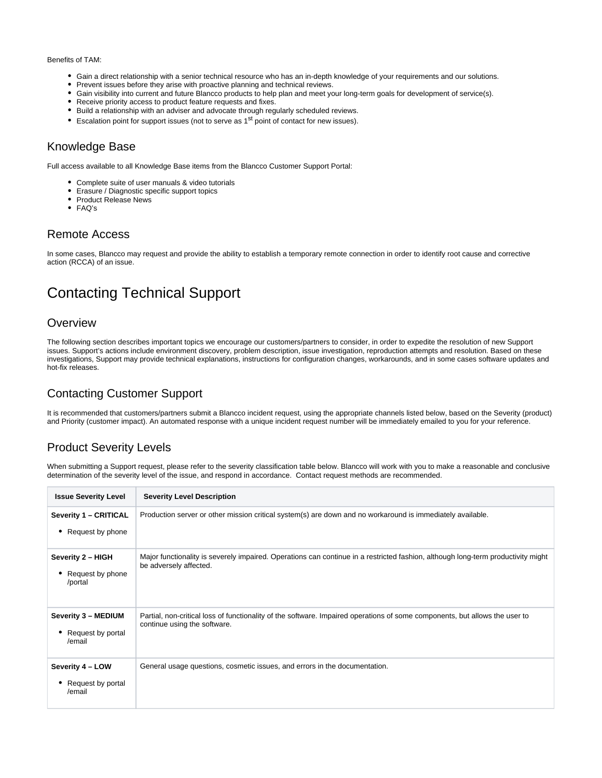#### Benefits of TAM:

- Gain a direct relationship with a senior technical resource who has an in-depth knowledge of your requirements and our solutions.
- Prevent issues before they arise with proactive planning and technical reviews.
- Gain visibility into current and future Blancco products to help plan and meet your long-term goals for development of service(s).
- Receive priority access to product feature requests and fixes.
- Build a relationship with an adviser and advocate through regularly scheduled reviews.
- **Exalation point for support issues (not to serve as**  $1<sup>st</sup>$  **point of contact for new issues).**

#### <span id="page-3-0"></span>Knowledge Base

Full access available to all Knowledge Base items from the Blancco Customer Support Portal:

- Complete suite of user manuals & video tutorials
- Erasure / Diagnostic specific support topics
- Product Release News
- FAQ's

#### <span id="page-3-1"></span>Remote Access

In some cases, Blancco may request and provide the ability to establish a temporary remote connection in order to identify root cause and corrective action (RCCA) of an issue.

## <span id="page-3-2"></span>Contacting Technical Support

#### <span id="page-3-3"></span>**Overview**

The following section describes important topics we encourage our customers/partners to consider, in order to expedite the resolution of new Support issues. Support's actions include environment discovery, problem description, issue investigation, reproduction attempts and resolution. Based on these investigations, Support may provide technical explanations, instructions for configuration changes, workarounds, and in some cases software updates and hot-fix releases.

#### <span id="page-3-4"></span>Contacting Customer Support

It is recommended that customers/partners submit a Blancco incident request, using the appropriate channels listed below, based on the Severity (product) and Priority (customer impact). An automated response with a unique incident request number will be immediately emailed to you for your reference.

#### <span id="page-3-5"></span>Product Severity Levels

When submitting a Support request, please refer to the severity classification table below. Blancco will work with you to make a reasonable and conclusive determination of the severity level of the issue, and respond in accordance. Contact request methods are recommended.

<span id="page-3-6"></span>

| <b>Issue Severity Level</b>                        | <b>Severity Level Description</b>                                                                                                                           |  |  |
|----------------------------------------------------|-------------------------------------------------------------------------------------------------------------------------------------------------------------|--|--|
| Severity 1 - CRITICAL<br>Request by phone          | Production server or other mission critical system(s) are down and no workaround is immediately available.                                                  |  |  |
| Severity 2 - HIGH<br>Request by phone<br>/portal   | Major functionality is severely impaired. Operations can continue in a restricted fashion, although long-term productivity might<br>be adversely affected.  |  |  |
| Severity 3 - MEDIUM<br>Request by portal<br>/email | Partial, non-critical loss of functionality of the software. Impaired operations of some components, but allows the user to<br>continue using the software. |  |  |
| Severity 4 - LOW<br>Request by portal<br>/email    | General usage questions, cosmetic issues, and errors in the documentation.                                                                                  |  |  |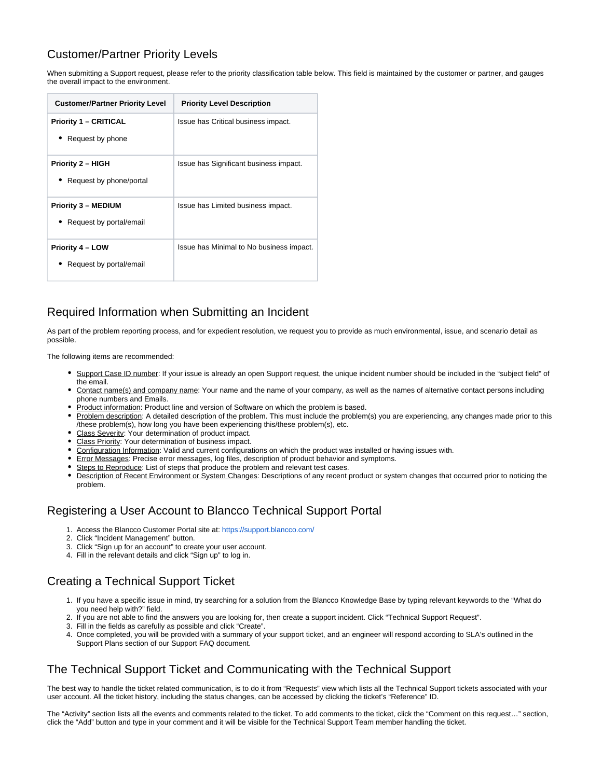#### Customer/Partner Priority Levels

When submitting a Support request, please refer to the priority classification table below. This field is maintained by the customer or partner, and gauges the overall impact to the environment.

| <b>Customer/Partner Priority Level</b>                | <b>Priority Level Description</b>        |
|-------------------------------------------------------|------------------------------------------|
| <b>Priority 1 – CRITICAL</b><br>Request by phone      | Issue has Critical business impact.      |
| <b>Priority 2 - HIGH</b><br>Request by phone/portal   | Issue has Significant business impact.   |
| <b>Priority 3 - MEDIUM</b><br>Request by portal/email | Issue has Limited business impact.       |
| <b>Priority 4 – LOW</b><br>Request by portal/email    | Issue has Minimal to No business impact. |

### <span id="page-4-0"></span>Required Information when Submitting an Incident

As part of the problem reporting process, and for expedient resolution, we request you to provide as much environmental, issue, and scenario detail as possible.

The following items are recommended:

- . Support Case ID number: If your issue is already an open Support request, the unique incident number should be included in the "subject field" of the email.
- Contact name(s) and company name: Your name and the name of your company, as well as the names of alternative contact persons including phone numbers and Emails.
- Product information: Product line and version of Software on which the problem is based.
- Problem description: A detailed description of the problem. This must include the problem(s) you are experiencing, any changes made prior to this /these problem(s), how long you have been experiencing this/these problem(s), etc.
- Class Severity: Your determination of product impact.
- Class Priority: Your determination of business impact.
- Configuration Information: Valid and current configurations on which the product was installed or having issues with.
- **Error Messages: Precise error messages, log files, description of product behavior and symptoms.**
- Steps to Reproduce: List of steps that produce the problem and relevant test cases.
- Description of Recent Environment or System Changes: Descriptions of any recent product or system changes that occurred prior to noticing the problem.

#### <span id="page-4-1"></span>Registering a User Account to Blancco Technical Support Portal

- 1. Access the Blancco Customer Portal site at: <https://support.blancco.com/>
- 2. Click "Incident Management" button.
- 3. Click "Sign up for an account" to create your user account.
- 4. Fill in the relevant details and click "Sign up" to log in.

#### <span id="page-4-2"></span>Creating a Technical Support Ticket

- 1. If you have a specific issue in mind, try searching for a solution from the Blancco Knowledge Base by typing relevant keywords to the "What do you need help with?" field.
- 2. If you are not able to find the answers you are looking for, then create a support incident. Click "Technical Support Request".
- 3. Fill in the fields as carefully as possible and click "Create".
- 4. Once completed, you will be provided with a summary of your support ticket, and an engineer will respond according to SLA's outlined in the Support Plans section of our Support FAQ document.

#### <span id="page-4-3"></span>The Technical Support Ticket and Communicating with the Technical Support

The best way to handle the ticket related communication, is to do it from "Requests" view which lists all the Technical Support tickets associated with your user account. All the ticket history, including the status changes, can be accessed by clicking the ticket's "Reference" ID.

The "Activity" section lists all the events and comments related to the ticket. To add comments to the ticket, click the "Comment on this request…" section, click the "Add" button and type in your comment and it will be visible for the Technical Support Team member handling the ticket.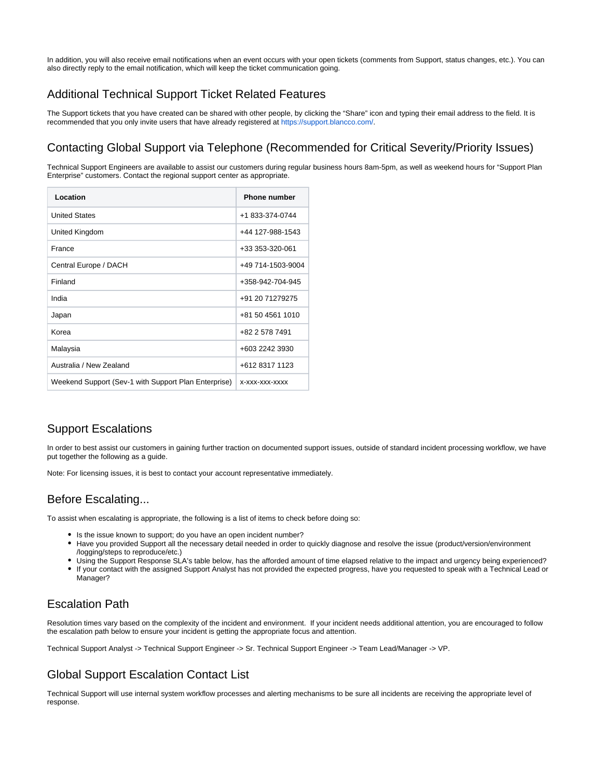In addition, you will also receive email notifications when an event occurs with your open tickets (comments from Support, status changes, etc.). You can also directly reply to the email notification, which will keep the ticket communication going.

#### <span id="page-5-0"></span>Additional Technical Support Ticket Related Features

The Support tickets that you have created can be shared with other people, by clicking the "Share" icon and typing their email address to the field. It is recommended that you only invite users that have already registered at [https://support.blancco.com/.](https://support.blancco.com/)

#### <span id="page-5-1"></span>Contacting Global Support via Telephone (Recommended for Critical Severity/Priority Issues)

Technical Support Engineers are available to assist our customers during regular business hours 8am-5pm, as well as weekend hours for "Support Plan Enterprise" customers. Contact the regional support center as appropriate.

| Location                                             | <b>Phone number</b> |
|------------------------------------------------------|---------------------|
| <b>United States</b>                                 | +1 833-374-0744     |
| United Kingdom                                       | +44 127-988-1543    |
| France                                               | +33 353-320-061     |
| Central Europe / DACH                                | +49 714-1503-9004   |
| Finland                                              | +358-942-704-945    |
| India                                                | +91 20 71279275     |
| Japan                                                | +81 50 4561 1010    |
| Korea                                                | +82 2 578 7491      |
| Malaysia                                             | +603 2242 3930      |
| Australia / New Zealand                              | +612 8317 1123      |
| Weekend Support (Sev-1 with Support Plan Enterprise) | X-XXX-XXX-XXXX      |

#### <span id="page-5-2"></span>Support Escalations

In order to best assist our customers in gaining further traction on documented support issues, outside of standard incident processing workflow, we have put together the following as a guide.

Note: For licensing issues, it is best to contact your account representative immediately.

#### <span id="page-5-3"></span>Before Escalating...

To assist when escalating is appropriate, the following is a list of items to check before doing so:

- Is the issue known to support; do you have an open incident number?
- Have you provided Support all the necessary detail needed in order to quickly diagnose and resolve the issue (product/version/environment /logging/steps to reproduce/etc.)
- Using the Support Response SLA's table below, has the afforded amount of time elapsed relative to the impact and urgency being experienced?  $\bullet$ If your contact with the assigned Support Analyst has not provided the expected progress, have you requested to speak with a Technical Lead or Manager?

#### <span id="page-5-4"></span>Escalation Path

Resolution times vary based on the complexity of the incident and environment. If your incident needs additional attention, you are encouraged to follow the escalation path below to ensure your incident is getting the appropriate focus and attention.

Technical Support Analyst -> Technical Support Engineer -> Sr. Technical Support Engineer -> Team Lead/Manager -> VP.

### <span id="page-5-5"></span>Global Support Escalation Contact List

Technical Support will use internal system workflow processes and alerting mechanisms to be sure all incidents are receiving the appropriate level of response.